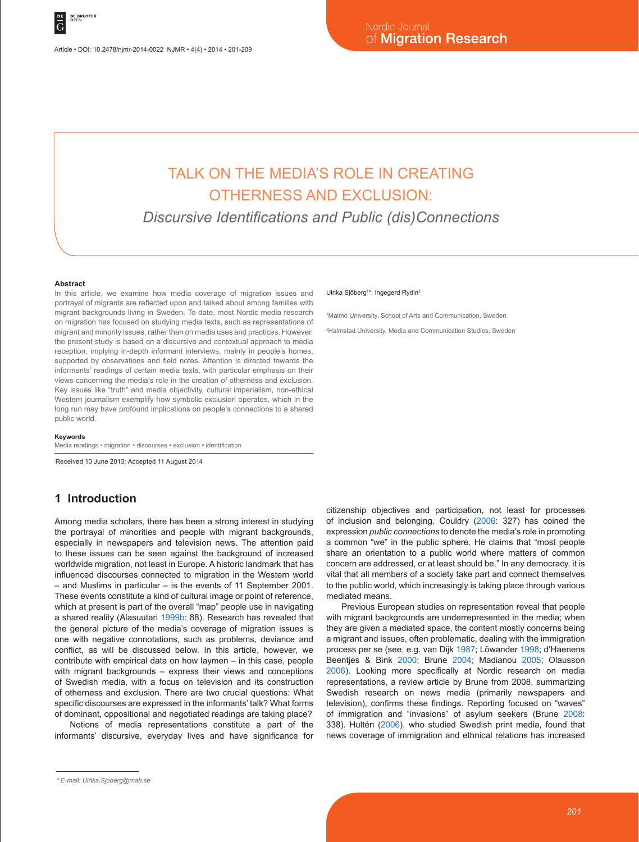# TALK ON THE MEDIA'S ROLE IN CREATING OTHERNESS AND EXCLUSION:

*Discursive Identifications and Public (dis)Connections*

#### **Abstract**

In this article, we examine how media coverage of migration issues and portrayal of migrants are reflected upon and talked about among families with migrant backgrounds living in Sweden. To date, most Nordic media research on migration has focused on studying media texts, such as representations of migrant and minority issues, rather than on media uses and practices. However, the present study is based on a discursive and contextual approach to media reception, implying in-depth informant interviews, mainly in people's homes, supported by observations and field notes. Attention is directed towards the informants' readings of certain media texts, with particular emphasis on their views concerning the media's role in the creation of otherness and exclusion. Key issues like "truth" and media objectivity, cultural imperialism, non-ethical Western journalism exemplify how symbolic exclusion operates, which in the long run may have profound implications on people's connections to a shared public world.

#### **Keywords**

Media readings • migration • discourses • exclusion • identification

Received 10 June 2013; Accepted 11 August 2014

### **1 Introduction**

Among media scholars, there has been a strong interest in studying the portrayal of minorities and people with migrant backgrounds, especially in newspapers and television news. The attention paid to these issues can be seen against the background of increased worldwide migration, not least in Europe. A historic landmark that has influenced discourses connected to migration in the Western world – and Muslims in particular – is the events of 11 September 2001. These events constitute a kind of cultural image or point of reference, which at present is part of the overall "map" people use in navigating a shared reality (Alasuutari 1999b: 88). Research has revealed that the general picture of the media's coverage of migration issues is one with negative connotations, such as problems, deviance and conflict, as will be discussed below. In this article, however, we contribute with empirical data on how laymen – in this case, people with migrant backgrounds – express their views and conceptions of Swedish media, with a focus on television and its construction of otherness and exclusion. There are two crucial questions: What specific discourses are expressed in the informants' talk? What forms of dominant, oppositional and negotiated readings are taking place?

Notions of media representations constitute a part of the informants' discursive, everyday lives and have significance for

#### Ulrika Sjöberg<sup>1\*</sup>, Ingegerd Rydin<sup>2</sup>

1 Malmö University, School of Arts and Communication, Sweden

2 Halmstad University, Media and Communication Studies, Sweden

citizenship objectives and participation, not least for processes of inclusion and belonging. Couldry (2006: 327) has coined the expression *public connections* to denote the media's role in promoting a common "we" in the public sphere. He claims that "most people share an orientation to a public world where matters of common concern are addressed, or at least should be." In any democracy, it is vital that all members of a society take part and connect themselves to the public world, which increasingly is taking place through various mediated means.

Previous European studies on representation reveal that people with migrant backgrounds are underrepresented in the media; when they are given a mediated space, the content mostly concerns being a migrant and issues, often problematic, dealing with the immigration process per se (see, e.g. van Dijk 1987; Löwander 1998; d'Haenens Beentjes & Bink 2000; Brune 2004; Madianou 2005; Olausson 2006). Looking more specifically at Nordic research on media representations, a review article by Brune from 2008, summarizing Swedish research on news media (primarily newspapers and television), confirms these findings. Reporting focused on "waves" of immigration and "invasions" of asylum seekers (Brune 2008: 338). Hultén (2006), who studied Swedish print media, found that news coverage of immigration and ethnical relations has increased

*<sup>\*</sup> E-mail: Ulrika.Sjoberg@mah.se*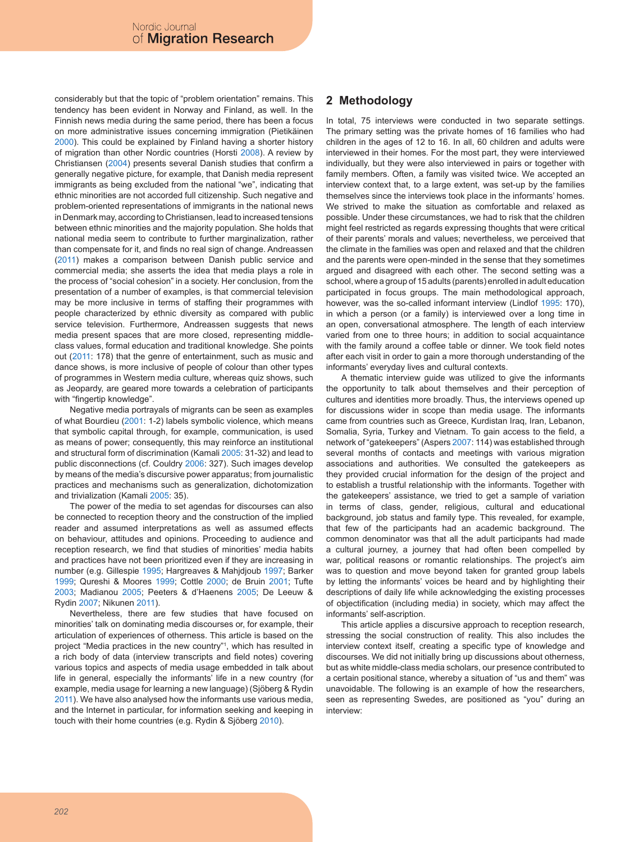considerably but that the topic of "problem orientation" remains. This tendency has been evident in Norway and Finland, as well. In the Finnish news media during the same period, there has been a focus on more administrative issues concerning immigration (Pietikäinen 2000). This could be explained by Finland having a shorter history of migration than other Nordic countries (Horsti 2008). A review by Christiansen (2004) presents several Danish studies that confirm a generally negative picture, for example, that Danish media represent immigrants as being excluded from the national "we", indicating that ethnic minorities are not accorded full citizenship. Such negative and problem-oriented representations of immigrants in the national news in Denmark may, according to Christiansen, lead to increased tensions between ethnic minorities and the majority population. She holds that national media seem to contribute to further marginalization, rather than compensate for it, and finds no real sign of change. Andreassen (2011) makes a comparison between Danish public service and commercial media; she asserts the idea that media plays a role in the process of "social cohesion" in a society. Her conclusion, from the presentation of a number of examples, is that commercial television may be more inclusive in terms of staffing their programmes with people characterized by ethnic diversity as compared with public service television. Furthermore, Andreassen suggests that news media present spaces that are more closed, representing middleclass values, formal education and traditional knowledge. She points out (2011: 178) that the genre of entertainment, such as music and dance shows, is more inclusive of people of colour than other types of programmes in Western media culture, whereas quiz shows, such as Jeopardy, are geared more towards a celebration of participants with "fingertip knowledge".

Negative media portrayals of migrants can be seen as examples of what Bourdieu (2001: 1-2) labels symbolic violence, which means that symbolic capital through, for example, communication, is used as means of power; consequently, this may reinforce an institutional and structural form of discrimination (Kamali 2005: 31-32) and lead to public disconnections (cf. Couldry 2006: 327). Such images develop by means of the media's discursive power apparatus; from journalistic practices and mechanisms such as generalization, dichotomization and trivialization (Kamali 2005: 35).

The power of the media to set agendas for discourses can also be connected to reception theory and the construction of the implied reader and assumed interpretations as well as assumed effects on behaviour, attitudes and opinions. Proceeding to audience and reception research, we find that studies of minorities' media habits and practices have not been prioritized even if they are increasing in number (e.g. Gillespie 1995; Hargreaves & Mahjdjoub 1997; Barker 1999; Qureshi & Moores 1999; Cottle 2000; de Bruin 2001; Tufte 2003; Madianou 2005; Peeters & d'Haenens 2005; De Leeuw & Rydin 2007; Nikunen 2011).

Nevertheless, there are few studies that have focused on minorities' talk on dominating media discourses or, for example, their articulation of experiences of otherness. This article is based on the project "Media practices in the new country"1 , which has resulted in a rich body of data (interview transcripts and field notes) covering various topics and aspects of media usage embedded in talk about life in general, especially the informants' life in a new country (for example, media usage for learning a new language) (Sjöberg & Rydin 2011). We have also analysed how the informants use various media, and the Internet in particular, for information seeking and keeping in touch with their home countries (e.g. Rydin & Sjöberg 2010).

## **2 Methodology**

In total, 75 interviews were conducted in two separate settings. The primary setting was the private homes of 16 families who had children in the ages of 12 to 16. In all, 60 children and adults were interviewed in their homes. For the most part, they were interviewed individually, but they were also interviewed in pairs or together with family members. Often, a family was visited twice. We accepted an interview context that, to a large extent, was set-up by the families themselves since the interviews took place in the informants' homes. We strived to make the situation as comfortable and relaxed as possible. Under these circumstances, we had to risk that the children might feel restricted as regards expressing thoughts that were critical of their parents' morals and values; nevertheless, we perceived that the climate in the families was open and relaxed and that the children and the parents were open-minded in the sense that they sometimes argued and disagreed with each other. The second setting was a school, where a group of 15 adults (parents) enrolled in adult education participated in focus groups. The main methodological approach, however, was the so-called informant interview (Lindlof 1995: 170), in which a person (or a family) is interviewed over a long time in an open, conversational atmosphere. The length of each interview varied from one to three hours; in addition to social acquaintance with the family around a coffee table or dinner. We took field notes after each visit in order to gain a more thorough understanding of the informants' everyday lives and cultural contexts.

A thematic interview guide was utilized to give the informants the opportunity to talk about themselves and their perception of cultures and identities more broadly. Thus, the interviews opened up for discussions wider in scope than media usage. The informants came from countries such as Greece, Kurdistan Iraq, Iran, Lebanon, Somalia, Syria, Turkey and Vietnam. To gain access to the field, a network of "gatekeepers" (Aspers 2007: 114) was established through several months of contacts and meetings with various migration associations and authorities. We consulted the gatekeepers as they provided crucial information for the design of the project and to establish a trustful relationship with the informants. Together with the gatekeepers' assistance, we tried to get a sample of variation in terms of class, gender, religious, cultural and educational background, job status and family type. This revealed, for example, that few of the participants had an academic background. The common denominator was that all the adult participants had made a cultural journey, a journey that had often been compelled by war, political reasons or romantic relationships. The project's aim was to question and move beyond taken for granted group labels by letting the informants' voices be heard and by highlighting their descriptions of daily life while acknowledging the existing processes of objectification (including media) in society, which may affect the informants' self-ascription.

This article applies a discursive approach to reception research, stressing the social construction of reality. This also includes the interview context itself, creating a specific type of knowledge and discourses. We did not initially bring up discussions about otherness, but as white middle-class media scholars, our presence contributed to a certain positional stance, whereby a situation of "us and them" was unavoidable. The following is an example of how the researchers, seen as representing Swedes, are positioned as "you" during an interview: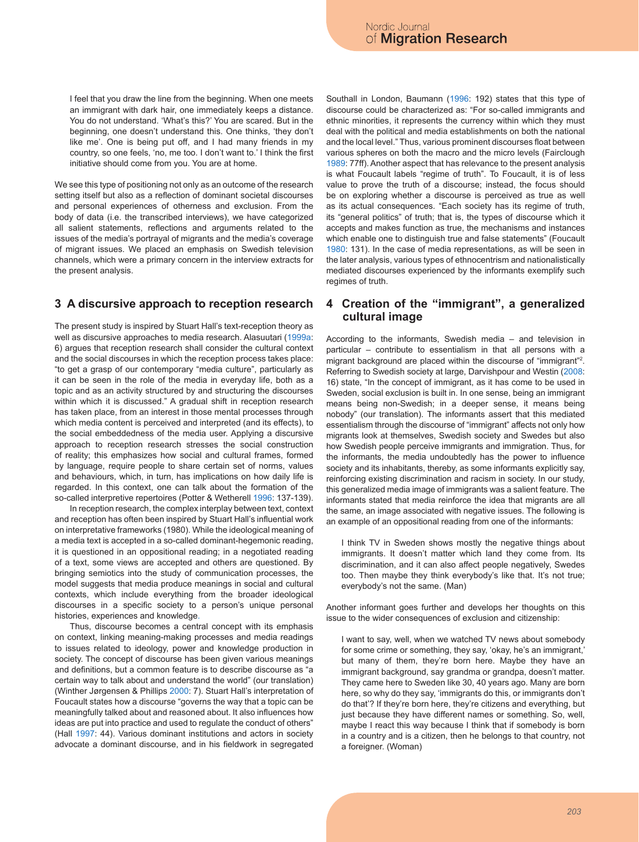I feel that you draw the line from the beginning. When one meets an immigrant with dark hair, one immediately keeps a distance. You do not understand. 'What's this?' You are scared. But in the beginning, one doesn't understand this. One thinks, 'they don't like me'. One is being put off, and I had many friends in my country, so one feels, 'no, me too. I don't want to.' I think the first initiative should come from you. You are at home.

We see this type of positioning not only as an outcome of the research setting itself but also as a reflection of dominant societal discourses and personal experiences of otherness and exclusion. From the body of data (i.e. the transcribed interviews), we have categorized all salient statements, reflections and arguments related to the issues of the media's portrayal of migrants and the media's coverage of migrant issues. We placed an emphasis on Swedish television channels, which were a primary concern in the interview extracts for the present analysis.

#### **3 A discursive approach to reception research**

The present study is inspired by Stuart Hall's text-reception theory as well as discursive approaches to media research. Alasuutari (1999a: 6) argues that reception research shall consider the cultural context and the social discourses in which the reception process takes place: "to get a grasp of our contemporary "media culture", particularly as it can be seen in the role of the media in everyday life, both as a topic and as an activity structured by and structuring the discourses within which it is discussed." A gradual shift in reception research has taken place, from an interest in those mental processes through which media content is perceived and interpreted (and its effects), to the social embeddedness of the media user. Applying a discursive approach to reception research stresses the social construction of reality; this emphasizes how social and cultural frames, formed by language, require people to share certain set of norms, values and behaviours, which, in turn, has implications on how daily life is regarded. In this context, one can talk about the formation of the so-called interpretive repertoires (Potter & Wetherell 1996: 137-139).

In reception research, the complex interplay between text, context and reception has often been inspired by Stuart Hall's influential work on interpretative frameworks (1980). While the ideological meaning of a media text is accepted in a so-called dominant-hegemonic reading, it is questioned in an oppositional reading; in a negotiated reading of a text, some views are accepted and others are questioned. By bringing semiotics into the study of communication processes, the model suggests that media produce meanings in social and cultural contexts, which include everything from the broader ideological discourses in a specific society to a person's unique personal histories, experiences and knowledge.

Thus, discourse becomes a central concept with its emphasis on context, linking meaning-making processes and media readings to issues related to ideology, power and knowledge production in society. The concept of discourse has been given various meanings and definitions, but a common feature is to describe discourse as "a certain way to talk about and understand the world" (our translation) (Winther Jørgensen & Phillips 2000: 7). Stuart Hall's interpretation of Foucault states how a discourse "governs the way that a topic can be meaningfully talked about and reasoned about. It also influences how ideas are put into practice and used to regulate the conduct of others" (Hall 1997: 44). Various dominant institutions and actors in society advocate a dominant discourse, and in his fieldwork in segregated Southall in London, Baumann (1996: 192) states that this type of discourse could be characterized as: "For so-called immigrants and ethnic minorities, it represents the currency within which they must deal with the political and media establishments on both the national and the local level." Thus, various prominent discourses float between various spheres on both the macro and the micro levels (Fairclough 1989: 77ff). Another aspect that has relevance to the present analysis is what Foucault labels "regime of truth". To Foucault, it is of less value to prove the truth of a discourse; instead, the focus should be on exploring whether a discourse is perceived as true as well as its actual consequences. "Each society has its regime of truth, its "general politics" of truth; that is, the types of discourse which it accepts and makes function as true, the mechanisms and instances which enable one to distinguish true and false statements" (Foucault 1980: 131). In the case of media representations, as will be seen in the later analysis, various types of ethnocentrism and nationalistically mediated discourses experienced by the informants exemplify such regimes of truth.

#### **4 Creation of the "immigrant", a generalized cultural image**

According to the informants, Swedish media – and television in particular – contribute to essentialism in that all persons with a migrant background are placed within the discourse of "immigrant"2 . Referring to Swedish society at large, Darvishpour and Westin (2008: 16) state, "In the concept of immigrant, as it has come to be used in Sweden, social exclusion is built in. In one sense, being an immigrant means being non-Swedish; in a deeper sense, it means being nobody" (our translation). The informants assert that this mediated essentialism through the discourse of "immigrant" affects not only how migrants look at themselves, Swedish society and Swedes but also how Swedish people perceive immigrants and immigration. Thus, for the informants, the media undoubtedly has the power to influence society and its inhabitants, thereby, as some informants explicitly say, reinforcing existing discrimination and racism in society. In our study, this generalized media image of immigrants was a salient feature. The informants stated that media reinforce the idea that migrants are all the same, an image associated with negative issues. The following is an example of an oppositional reading from one of the informants:

I think TV in Sweden shows mostly the negative things about immigrants. It doesn't matter which land they come from. Its discrimination, and it can also affect people negatively, Swedes too. Then maybe they think everybody's like that. It's not true; everybody's not the same. (Man)

Another informant goes further and develops her thoughts on this issue to the wider consequences of exclusion and citizenship:

I want to say, well, when we watched TV news about somebody for some crime or something, they say, 'okay, he's an immigrant,' but many of them, they're born here. Maybe they have an immigrant background, say grandma or grandpa, doesn't matter. They came here to Sweden like 30, 40 years ago. Many are born here, so why do they say, 'immigrants do this, or immigrants don't do that'? If they're born here, they're citizens and everything, but just because they have different names or something. So, well, maybe I react this way because I think that if somebody is born in a country and is a citizen, then he belongs to that country, not a foreigner. (Woman)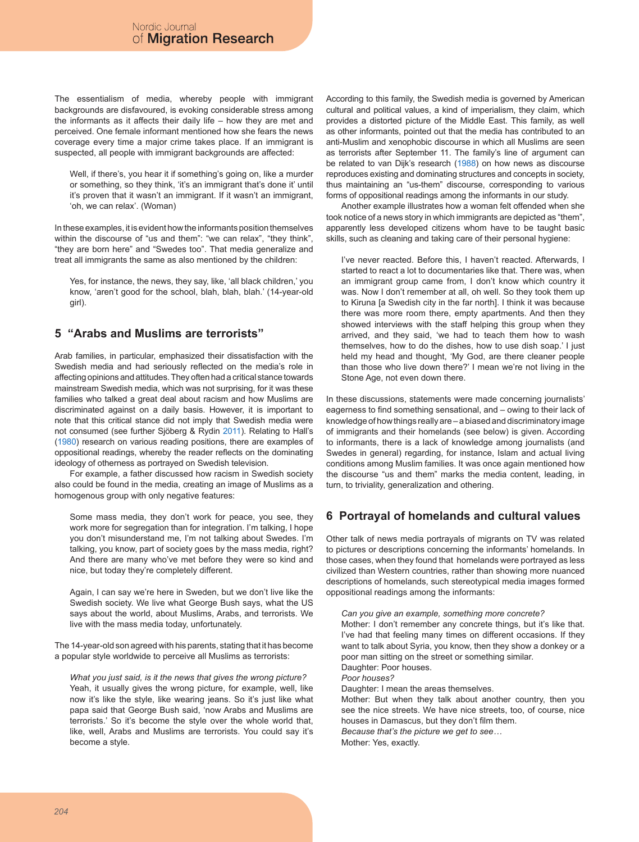The essentialism of media, whereby people with immigrant backgrounds are disfavoured, is evoking considerable stress among the informants as it affects their daily life – how they are met and perceived. One female informant mentioned how she fears the news coverage every time a major crime takes place. If an immigrant is suspected, all people with immigrant backgrounds are affected:

Well, if there's, you hear it if something's going on, like a murder or something, so they think, 'it's an immigrant that's done it' until it's proven that it wasn't an immigrant. If it wasn't an immigrant, 'oh, we can relax'. (Woman)

In these examples, it is evident how the informants position themselves within the discourse of "us and them": "we can relax", "they think", "they are born here" and "Swedes too". That media generalize and treat all immigrants the same as also mentioned by the children:

Yes, for instance, the news, they say, like, 'all black children,' you know, 'aren't good for the school, blah, blah, blah.' (14-year-old girl).

### **5 "Arabs and Muslims are terrorists"**

Arab families, in particular, emphasized their dissatisfaction with the Swedish media and had seriously reflected on the media's role in affecting opinions and attitudes. They often had a critical stance towards mainstream Swedish media, which was not surprising, for it was these families who talked a great deal about racism and how Muslims are discriminated against on a daily basis. However, it is important to note that this critical stance did not imply that Swedish media were not consumed (see further Sjöberg & Rydin 2011). Relating to Hall's (1980) research on various reading positions, there are examples of oppositional readings, whereby the reader reflects on the dominating ideology of otherness as portrayed on Swedish television.

For example, a father discussed how racism in Swedish society also could be found in the media, creating an image of Muslims as a homogenous group with only negative features:

Some mass media, they don't work for peace, you see, they work more for segregation than for integration. I'm talking, I hope you don't misunderstand me, I'm not talking about Swedes. I'm talking, you know, part of society goes by the mass media, right? And there are many who've met before they were so kind and nice, but today they're completely different.

Again, I can say we're here in Sweden, but we don't live like the Swedish society. We live what George Bush says, what the US says about the world, about Muslims, Arabs, and terrorists. We live with the mass media today, unfortunately.

The 14-year-old son agreed with his parents, stating that it has become a popular style worldwide to perceive all Muslims as terrorists:

*What you just said, is it the news that gives the wrong picture?*  Yeah, it usually gives the wrong picture, for example, well, like now it's like the style, like wearing jeans. So it's just like what papa said that George Bush said, 'now Arabs and Muslims are terrorists.' So it's become the style over the whole world that, like, well, Arabs and Muslims are terrorists. You could say it's become a style.

According to this family, the Swedish media is governed by American cultural and political values, a kind of imperialism, they claim, which provides a distorted picture of the Middle East. This family, as well as other informants, pointed out that the media has contributed to an anti-Muslim and xenophobic discourse in which all Muslims are seen as terrorists after September 11. The family's line of argument can be related to van Dijk's research (1988) on how news as discourse reproduces existing and dominating structures and concepts in society, thus maintaining an "us-them" discourse, corresponding to various forms of oppositional readings among the informants in our study.

Another example illustrates how a woman felt offended when she took notice of a news story in which immigrants are depicted as "them", apparently less developed citizens whom have to be taught basic skills, such as cleaning and taking care of their personal hygiene:

I've never reacted. Before this, I haven't reacted. Afterwards, I started to react a lot to documentaries like that. There was, when an immigrant group came from, I don't know which country it was. Now I don't remember at all, oh well. So they took them up to Kiruna [a Swedish city in the far north]. I think it was because there was more room there, empty apartments. And then they showed interviews with the staff helping this group when they arrived, and they said, 'we had to teach them how to wash themselves, how to do the dishes, how to use dish soap.' I just held my head and thought, 'My God, are there cleaner people than those who live down there?' I mean we're not living in the Stone Age, not even down there.

In these discussions, statements were made concerning journalists' eagerness to find something sensational, and – owing to their lack of knowledge of how things really are – a biased and discriminatory image of immigrants and their homelands (see below) is given. According to informants, there is a lack of knowledge among journalists (and Swedes in general) regarding, for instance, Islam and actual living conditions among Muslim families. It was once again mentioned how the discourse "us and them" marks the media content, leading, in turn, to triviality, generalization and othering.

### **6 Portrayal of homelands and cultural values**

Other talk of news media portrayals of migrants on TV was related to pictures or descriptions concerning the informants' homelands. In those cases, when they found that homelands were portrayed as less civilized than Western countries, rather than showing more nuanced descriptions of homelands, such stereotypical media images formed oppositional readings among the informants:

*Can you give an example, something more concrete?* Mother: I don't remember any concrete things, but it's like that. I've had that feeling many times on different occasions. If they want to talk about Syria, you know, then they show a donkey or a poor man sitting on the street or something similar. Daughter: Poor houses. *Poor houses?* Daughter: I mean the areas themselves. Mother: But when they talk about another country, then you see the nice streets. We have nice streets, too, of course, nice houses in Damascus, but they don't film them. *Because that's the picture we get to see…*

Mother: Yes, exactly.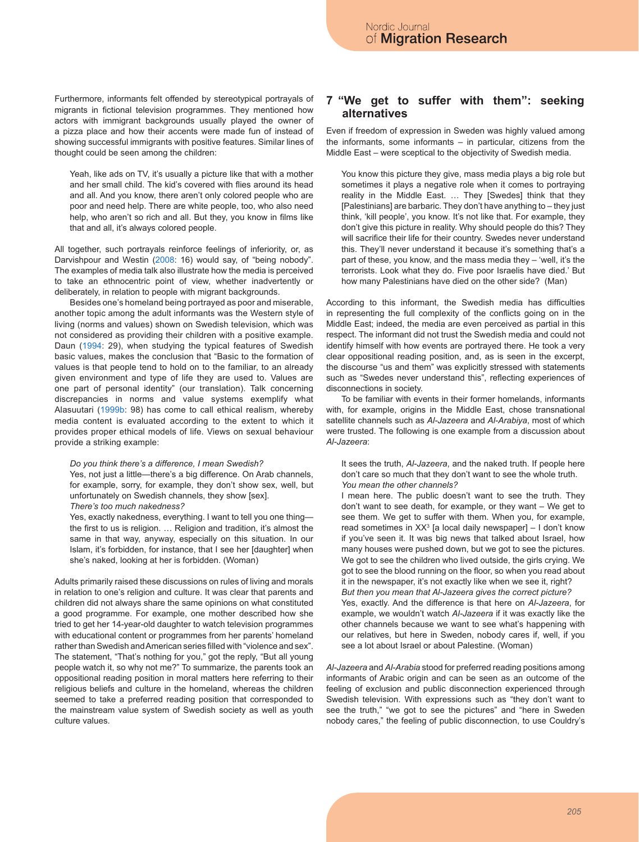Furthermore, informants felt offended by stereotypical portrayals of migrants in fictional television programmes. They mentioned how actors with immigrant backgrounds usually played the owner of a pizza place and how their accents were made fun of instead of showing successful immigrants with positive features. Similar lines of thought could be seen among the children:

Yeah, like ads on TV, it's usually a picture like that with a mother and her small child. The kid's covered with flies around its head and all. And you know, there aren't only colored people who are poor and need help. There are white people, too, who also need help, who aren't so rich and all. But they, you know in films like that and all, it's always colored people.

All together, such portrayals reinforce feelings of inferiority, or, as Darvishpour and Westin (2008: 16) would say, of "being nobody". The examples of media talk also illustrate how the media is perceived to take an ethnocentric point of view, whether inadvertently or deliberately, in relation to people with migrant backgrounds.

Besides one's homeland being portrayed as poor and miserable, another topic among the adult informants was the Western style of living (norms and values) shown on Swedish television, which was not considered as providing their children with a positive example. Daun (1994: 29), when studying the typical features of Swedish basic values, makes the conclusion that "Basic to the formation of values is that people tend to hold on to the familiar, to an already given environment and type of life they are used to. Values are one part of personal identity" (our translation). Talk concerning discrepancies in norms and value systems exemplify what Alasuutari (1999b: 98) has come to call ethical realism, whereby media content is evaluated according to the extent to which it provides proper ethical models of life. Views on sexual behaviour provide a striking example:

#### *Do you think there's a difference, I mean Swedish?*

Yes, not just a little—there's a big difference. On Arab channels, for example, sorry, for example, they don't show sex, well, but unfortunately on Swedish channels, they show [sex].

*There's too much nakedness?*

Yes, exactly nakedness, everything. I want to tell you one thing the first to us is religion. … Religion and tradition, it's almost the same in that way, anyway, especially on this situation. In our Islam, it's forbidden, for instance, that I see her [daughter] when she's naked, looking at her is forbidden. (Woman)

Adults primarily raised these discussions on rules of living and morals in relation to one's religion and culture. It was clear that parents and children did not always share the same opinions on what constituted a good programme. For example, one mother described how she tried to get her 14-year-old daughter to watch television programmes with educational content or programmes from her parents' homeland rather than Swedish and American series filled with "violence and sex". The statement, "That's nothing for you," got the reply, "But all young people watch it, so why not me?" To summarize, the parents took an oppositional reading position in moral matters here referring to their religious beliefs and culture in the homeland, whereas the children seemed to take a preferred reading position that corresponded to the mainstream value system of Swedish society as well as youth culture values.

#### **7 "We get to suffer with them": seeking "We get to suffer with them": seeking alternatives alternatives**

Even if freedom of expression in Sweden was highly valued among the informants, some informants – in particular, citizens from the Middle East – were sceptical to the objectivity of Swedish media.

You know this picture they give, mass media plays a big role but sometimes it plays a negative role when it comes to portraying reality in the Middle East. … They [Swedes] think that they [Palestinians] are barbaric. They don't have anything to – they just think, 'kill people', you know. It's not like that. For example, they don't give this picture in reality. Why should people do this? They will sacrifice their life for their country. Swedes never understand this. They'll never understand it because it's something that's a part of these, you know, and the mass media they – 'well, it's the terrorists. Look what they do. Five poor Israelis have died.' But how many Palestinians have died on the other side? (Man)

According to this informant, the Swedish media has difficulties in representing the full complexity of the conflicts going on in the Middle East; indeed, the media are even perceived as partial in this respect. The informant did not trust the Swedish media and could not identify himself with how events are portrayed there. He took a very clear oppositional reading position, and, as is seen in the excerpt, the discourse "us and them" was explicitly stressed with statements such as "Swedes never understand this", reflecting experiences of disconnections in society.

To be familiar with events in their former homelands, informants with, for example, origins in the Middle East, chose transnational satellite channels such as *Al-Jazeera* and *Al-Arabiya*, most of which were trusted. The following is one example from a discussion about *Al-Jazeera*:

It sees the truth, *Al-Jazeera*, and the naked truth. If people here don't care so much that they don't want to see the whole truth. *You mean the other channels?*

I mean here. The public doesn't want to see the truth. They don't want to see death, for example, or they want – We get to see them. We get to suffer with them. When you, for example, read sometimes in XX<sup>3</sup> [a local daily newspaper] – I don't know if you've seen it. It was big news that talked about Israel, how many houses were pushed down, but we got to see the pictures. We got to see the children who lived outside, the girls crying. We got to see the blood running on the floor, so when you read about it in the newspaper, it's not exactly like when we see it, right? *But then you mean that Al-Jazeera gives the correct picture?* Yes, exactly. And the difference is that here on *Al-Jazeera*, for example, we wouldn't watch *Al-Jazeera* if it was exactly like the other channels because we want to see what's happening with our relatives, but here in Sweden, nobody cares if, well, if you see a lot about Israel or about Palestine. (Woman)

*Al-Jazeera* and *Al-Arabia* stood for preferred reading positions among informants of Arabic origin and can be seen as an outcome of the feeling of exclusion and public disconnection experienced through Swedish television. With expressions such as "they don't want to see the truth," "we got to see the pictures" and "here in Sweden nobody cares," the feeling of public disconnection, to use Couldry's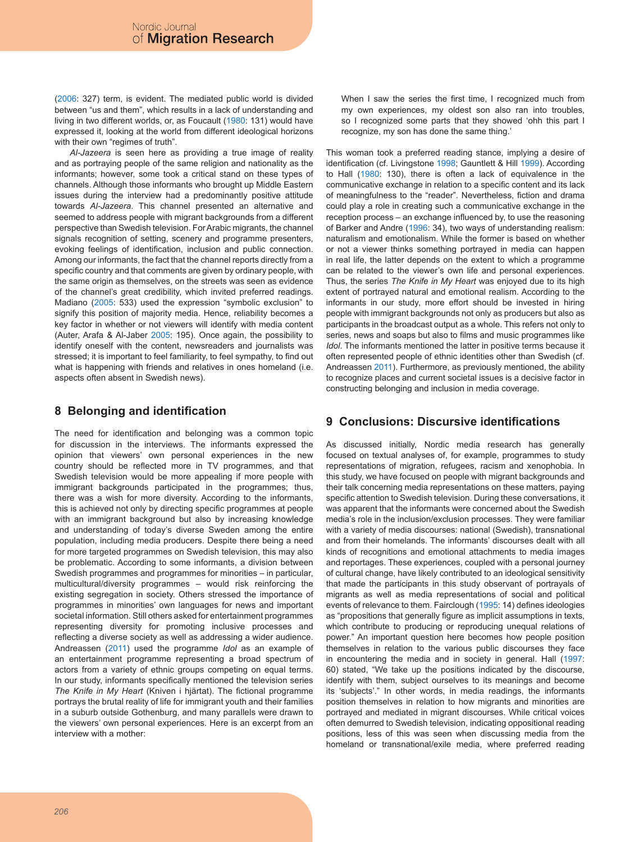(2006: 327) term, is evident. The mediated public world is divided between "us and them", which results in a lack of understanding and living in two different worlds, or, as Foucault (1980: 131) would have expressed it, looking at the world from different ideological horizons with their own "regimes of truth".

*Al-Jazeera* is seen here as providing a true image of reality and as portraying people of the same religion and nationality as the informants; however, some took a critical stand on these types of channels. Although those informants who brought up Middle Eastern issues during the interview had a predominantly positive attitude towards *Al-Jazeera*. This channel presented an alternative and seemed to address people with migrant backgrounds from a different perspective than Swedish television. For Arabic migrants, the channel signals recognition of setting, scenery and programme presenters, evoking feelings of identification, inclusion and public connection. Among our informants, the fact that the channel reports directly from a specific country and that comments are given by ordinary people, with the same origin as themselves, on the streets was seen as evidence of the channel's great credibility, which invited preferred readings. Madiano (2005: 533) used the expression "symbolic exclusion" to signify this position of majority media. Hence, reliability becomes a key factor in whether or not viewers will identify with media content (Auter, Arafa & Al-Jaber 2005: 195). Once again, the possibility to identify oneself with the content, newsreaders and journalists was stressed; it is important to feel familiarity, to feel sympathy, to find out what is happening with friends and relatives in ones homeland (i.e. aspects often absent in Swedish news).

### **8 Belonging and identification**

The need for identification and belonging was a common topic for discussion in the interviews. The informants expressed the opinion that viewers' own personal experiences in the new country should be reflected more in TV programmes, and that Swedish television would be more appealing if more people with immigrant backgrounds participated in the programmes; thus, there was a wish for more diversity. According to the informants, this is achieved not only by directing specific programmes at people with an immigrant background but also by increasing knowledge and understanding of today's diverse Sweden among the entire population, including media producers. Despite there being a need for more targeted programmes on Swedish television, this may also be problematic. According to some informants, a division between Swedish programmes and programmes for minorities – in particular, multicultural/diversity programmes – would risk reinforcing the existing segregation in society. Others stressed the importance of programmes in minorities' own languages for news and important societal information. Still others asked for entertainment programmes representing diversity for promoting inclusive processes and reflecting a diverse society as well as addressing a wider audience. Andreassen (2011) used the programme *Idol* as an example of an entertainment programme representing a broad spectrum of actors from a variety of ethnic groups competing on equal terms. In our study, informants specifically mentioned the television series *The Knife in My Heart* (Kniven i hjärtat). The fictional programme portrays the brutal reality of life for immigrant youth and their families in a suburb outside Gothenburg, and many parallels were drawn to the viewers' own personal experiences. Here is an excerpt from an interview with a mother:

When I saw the series the first time, I recognized much from my own experiences, my oldest son also ran into troubles, so I recognized some parts that they showed 'ohh this part I recognize, my son has done the same thing.'

This woman took a preferred reading stance, implying a desire of identification (cf. Livingstone 1998; Gauntlett & Hill 1999). According to Hall (1980: 130), there is often a lack of equivalence in the communicative exchange in relation to a specific content and its lack of meaningfulness to the "reader". Nevertheless, fiction and drama could play a role in creating such a communicative exchange in the reception process – an exchange influenced by, to use the reasoning of Barker and Andre (1996: 34), two ways of understanding realism: naturalism and emotionalism. While the former is based on whether or not a viewer thinks something portrayed in media can happen in real life, the latter depends on the extent to which a programme can be related to the viewer's own life and personal experiences. Thus, the series *The Knife in My Heart* was enjoyed due to its high extent of portrayed natural and emotional realism. According to the informants in our study, more effort should be invested in hiring people with immigrant backgrounds not only as producers but also as participants in the broadcast output as a whole. This refers not only to series, news and soaps but also to films and music programmes like *Idol*. The informants mentioned the latter in positive terms because it often represented people of ethnic identities other than Swedish (cf. Andreassen 2011). Furthermore, as previously mentioned, the ability to recognize places and current societal issues is a decisive factor in constructing belonging and inclusion in media coverage.

### **9 Conclusions: Discursive identifications**

As discussed initially, Nordic media research has generally focused on textual analyses of, for example, programmes to study representations of migration, refugees, racism and xenophobia. In this study, we have focused on people with migrant backgrounds and their talk concerning media representations on these matters, paying specific attention to Swedish television. During these conversations, it was apparent that the informants were concerned about the Swedish media's role in the inclusion/exclusion processes. They were familiar with a variety of media discourses: national (Swedish), transnational and from their homelands. The informants' discourses dealt with all kinds of recognitions and emotional attachments to media images and reportages. These experiences, coupled with a personal journey of cultural change, have likely contributed to an ideological sensitivity that made the participants in this study observant of portrayals of migrants as well as media representations of social and political events of relevance to them. Fairclough (1995: 14) defines ideologies as "propositions that generally figure as implicit assumptions in texts, which contribute to producing or reproducing unequal relations of power." An important question here becomes how people position themselves in relation to the various public discourses they face in encountering the media and in society in general. Hall (1997: 60) stated, "We take up the positions indicated by the discourse, identify with them, subject ourselves to its meanings and become its 'subjects'." In other words, in media readings, the informants position themselves in relation to how migrants and minorities are portrayed and mediated in migrant discourses. While critical voices often demurred to Swedish television, indicating oppositional reading positions, less of this was seen when discussing media from the homeland or transnational/exile media, where preferred reading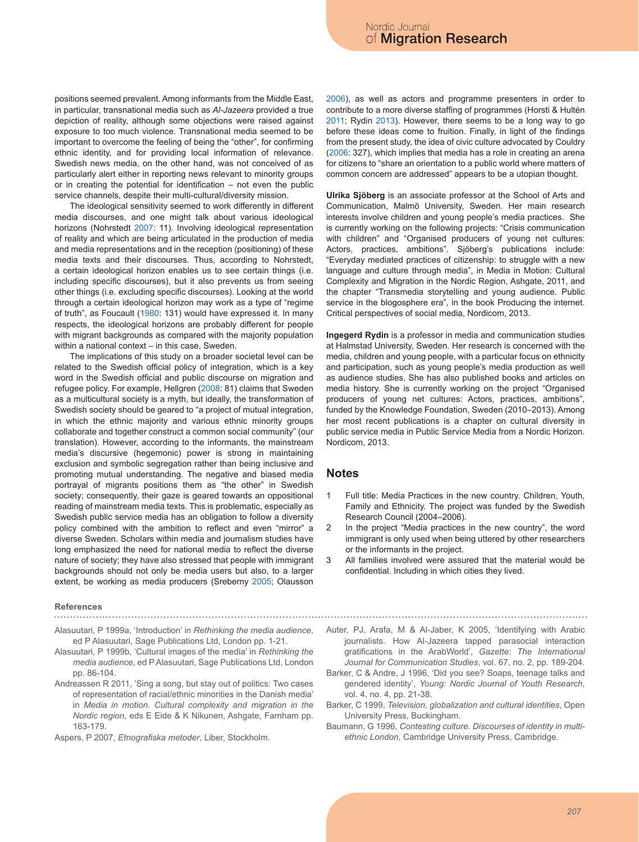positions seemed prevalent. Among informants from the Middle East, in particular, transnational media such as *Al-Jazeera* provided a true depiction of reality, although some objections were raised against exposure to too much violence. Transnational media seemed to be important to overcome the feeling of being the "other", for confirming ethnic identity, and for providing local information of relevance. Swedish news media, on the other hand, was not conceived of as particularly alert either in reporting news relevant to minority groups or in creating the potential for identification – not even the public service channels, despite their multi-cultural/diversity mission.

The ideological sensitivity seemed to work differently in different media discourses, and one might talk about various ideological horizons (Nohrstedt 2007: 11). Involving ideological representation of reality and which are being articulated in the production of media and media representations and in the reception (positioning) of these media texts and their discourses. Thus, according to Nohrstedt, a certain ideological horizon enables us to see certain things (i.e. including specific discourses), but it also prevents us from seeing other things (i.e. excluding specific discourses). Looking at the world through a certain ideological horizon may work as a type of "regime of truth", as Foucault (1980: 131) would have expressed it. In many respects, the ideological horizons are probably different for people with migrant backgrounds as compared with the majority population within a national context – in this case, Sweden.

The implications of this study on a broader societal level can be related to the Swedish official policy of integration, which is a key word in the Swedish official and public discourse on migration and refugee policy. For example, Hellgren (2008: 81) claims that Sweden as a multicultural society is a myth, but ideally, the transformation of Swedish society should be geared to "a project of mutual integration, in which the ethnic majority and various ethnic minority groups collaborate and together construct a common social community" (our translation). However, according to the informants, the mainstream media's discursive (hegemonic) power is strong in maintaining exclusion and symbolic segregation rather than being inclusive and promoting mutual understanding. The negative and biased media portrayal of migrants positions them as "the other" in Swedish society; consequently, their gaze is geared towards an oppositional reading of mainstream media texts. This is problematic, especially as Swedish public service media has an obligation to follow a diversity policy combined with the ambition to reflect and even "mirror" a diverse Sweden. Scholars within media and journalism studies have long emphasized the need for national media to reflect the diverse nature of society; they have also stressed that people with immigrant backgrounds should not only be media users but also, to a larger extent, be working as media producers (Sreberny 2005; Olausson

# **References**

- Alasuutari, P 1999a, 'Introduction' in *Rethinking the media audience*, ed P Alasuutari, Sage Publications Ltd, London pp. 1-21.
- Alasuutari, P 1999b, 'Cultural images of the media' in *Rethinking the media audience*, ed P Alasuutari, Sage Publications Ltd, London pp. 86-104.
- Andreassen R 2011, 'Sing a song, but stay out of politics: Two cases of representation of racial/ethnic minorities in the Danish media' in *Media in motion. Cultural complexity and migration in the Nordic region*, eds E Eide & K Nikunen, Ashgate, Farnham pp. 163-179.

Aspers, P 2007, *Etnografiska metoder*, Liber, Stockholm.

2006), as well as actors and programme presenters in order to contribute to a more diverse staffing of programmes (Horsti & Hultén 2011; Rydin 2013). However, there seems to be a long way to go before these ideas come to fruition. Finally, in light of the findings from the present study, the idea of civic culture advocated by Couldry (2006: 327), which implies that media has a role in creating an arena for citizens to "share an orientation to a public world where matters of common concern are addressed" appears to be a utopian thought.

**Ulrika Sjöberg** is an associate professor at the School of Arts and Communication, Malmö University, Sweden. Her main research interests involve children and young people's media practices. She is currently working on the following projects: "Crisis communication with children" and "Organised producers of young net cultures: Actors, practices, ambitions". Sjöberg's publications include: "Everyday mediated practices of citizenship: to struggle with a new language and culture through media", in Media in Motion: Cultural Complexity and Migration in the Nordic Region, Ashgate, 2011, and the chapter "Transmedia storytelling and young audience. Public service in the blogosphere era", in the book Producing the internet. Critical perspectives of social media, Nordicom, 2013.

**Ingegerd Rydin** is a professor in media and communication studies at Halmstad University, Sweden. Her research is concerned with the media, children and young people, with a particular focus on ethnicity and participation, such as young people's media production as well as audience studies. She has also published books and articles on media history. She is currently working on the project "Organised producers of young net cultures: Actors, practices, ambitions", funded by the Knowledge Foundation, Sweden (2010–2013). Among her most recent publications is a chapter on cultural diversity in public service media in Public Service Media from a Nordic Horizon. Nordicom, 2013.

#### **Notes**

- 1 Full title: Media Practices in the new country. Children, Youth, Family and Ethnicity. The project was funded by the Swedish Research Council (2004–2006).
- 2 In the project "Media practices in the new country", the word immigrant is only used when being uttered by other researchers or the informants in the project.
- 3 All families involved were assured that the material would be confidential. Including in which cities they lived.
- Auter, PJ, Arafa, M & Al-Jaber, K 2005, 'Identifying with Arabic journalists. How Al-Jazeera tapped parasocial interaction gratifications in the ArabWorld', *Gazette: The International Journal for Communication Studies*, vol. 67, no. 2, pp. 189-204.
- Barker, C & Andre, J 1996, 'Did you see? Soaps, teenage talks and gendered identity', *Young: Nordic Journal of Youth Research*, vol. 4, no. 4, pp. 21-38.
- Barker, C 1999, *Television, globalization and cultural identities*, Open University Press, Buckingham.
- Baumann, G 1996, *Contesting culture. Discourses of identity in multiethnic London*, Cambridge University Press, Cambridge.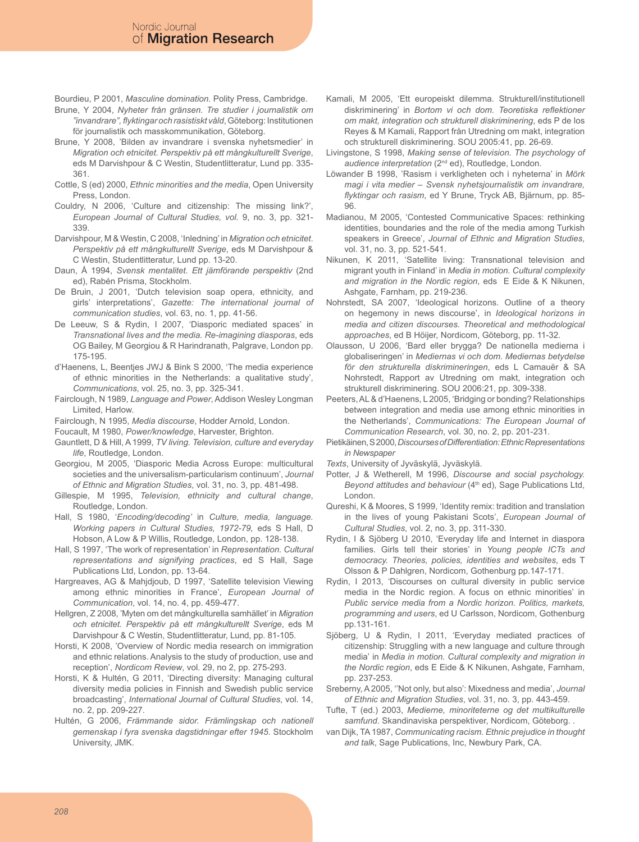Bourdieu, P 2001, *Masculine domination.* Polity Press, Cambridge.

- Brune, Y 2004, *Nyheter från gränsen. Tre studier i journalistik om "invandrare", flyktingar och rasistiskt våld*, Göteborg: Institutionen för journalistik och masskommunikation, Göteborg.
- Brune, Y 2008, 'Bilden av invandrare i svenska nyhetsmedier' in *Migration och etnicitet. Perspektiv på ett mångkulturellt Sverige*, eds M Darvishpour & C Westin, Studentlitteratur, Lund pp. 335- 361.
- Cottle, S (ed) 2000, *Ethnic minorities and the media*, Open University Press, London.
- Couldry, N 2006, 'Culture and citizenship: The missing link?', *European Journal of Cultural Studies, vol.* 9, no. 3, pp. 321- 339.
- Darvishpour, M & Westin, C 2008, 'Inledning' in *Migration och etnicitet*. *Perspektiv på ett mångkulturellt Sverige*, eds M Darvishpour & C Westin, Studentlitteratur, Lund pp. 13-20.
- Daun, Å 1994, *Svensk mentalitet. Ett jämförande perspektiv* (2nd ed), Rabén Prisma, Stockholm.
- De Bruin, J 2001, 'Dutch television soap opera, ethnicity, and girls' interpretations', *Gazette: The international journal of communication studies*, vol. 63, no. 1, pp. 41-56.
- De Leeuw, S & Rydin, I 2007, 'Diasporic mediated spaces' in *Transnational lives and the media. Re-imagining diasporas*, eds OG Bailey, M Georgiou & R Harindranath, Palgrave, London pp. 175-195.
- d'Haenens, L, Beentjes JWJ & Bink S 2000, 'The media experience of ethnic minorities in the Netherlands: a qualitative study', *Communications*, vol. 25, no. 3, pp. 325-341.
- Fairclough, N 1989, *Language and Power*, Addison Wesley Longman Limited, Harlow.
- Fairclough, N 1995, *Media discourse*, Hodder Arnold, London.
- Foucault, M 1980, *Power/knowledge*, Harvester, Brighton.
- Gauntlett, D & Hill, A 1999, *TV living. Television, culture and everyday life*, Routledge, London.
- Georgiou, M 2005, 'Diasporic Media Across Europe: multicultural societies and the universalism-particularism continuum', *Journal of Ethnic and Migration Studies*, vol. 31, no. 3, pp. 481-498.
- Gillespie, M 1995, *Television, ethnicity and cultural change*, Routledge, London.
- Hall, S 1980, '*Encoding/decoding'* in *Culture, media, language. Working papers in Cultural Studies, 1972-79,* eds S Hall, D Hobson, A Low & P Willis, Routledge, London, pp. 128-138.
- Hall, S 1997, 'The work of representation' in *Representation. Cultural representations and signifying practices*, ed S Hall, Sage Publications Ltd, London, pp. 13-64.
- Hargreaves, AG & Mahjdjoub, D 1997, 'Satellite television Viewing among ethnic minorities in France', *European Journal of Communication*, vol. 14, no. 4, pp. 459-477.
- Hellgren, Z 2008, 'Myten om det mångkulturella samhället' in *Migration och etnicitet. Perspektiv på ett mångkulturellt Sverige*, eds M Darvishpour & C Westin, Studentlitteratur, Lund, pp. 81-105.
- Horsti, K 2008, 'Overview of Nordic media research on immigration and ethnic relations. Analysis to the study of production, use and reception', *Nordicom Review*, vol. 29, no 2, pp. 275-293.
- Horsti, K & Hultén, G 2011, 'Directing diversity: Managing cultural diversity media policies in Finnish and Swedish public service broadcasting', *International Journal of Cultural Studies*, vol. 14, no. 2, pp. 209-227.
- Hultén, G 2006, *Främmande sidor. Främlingskap och nationell gemenskap i fyra svenska dagstidningar efter 1945*. Stockholm University, JMK.
- Kamali, M 2005, 'Ett europeiskt dilemma. Strukturell/institutionell diskriminering' in *Bortom vi och dom. Teoretiska reflektioner om makt, integration och strukturell diskriminering*, eds P de los Reyes & M Kamali, Rapport från Utredning om makt, integration och strukturell diskriminering. SOU 2005:41, pp. 26-69.
- Livingstone, S 1998, *Making sense of television. The psychology of audience interpretation* (2nd ed), Routledge, London.
- Löwander B 1998, 'Rasism i verkligheten och i nyheterna' in *Mörk magi i vita medier – Svensk nyhetsjournalistik om invandrare, flyktingar och rasism*, ed Y Brune, Tryck AB, Bjärnum, pp. 85- 96.
- Madianou, M 2005, 'Contested Communicative Spaces: rethinking identities, boundaries and the role of the media among Turkish speakers in Greece', *Journal of Ethnic and Migration Studies*, vol. 31, no. 3, pp. 521-541.
- Nikunen, K 2011, 'Satellite living: Transnational television and migrant youth in Finland' in *Media in motion. Cultural complexity and migration in the Nordic region*, eds E Eide & K Nikunen, Ashgate, Farnham, pp. 219-236.
- Nohrstedt, SA 2007, 'Ideological horizons. Outline of a theory on hegemony in news discourse', in *Ideological horizons in media and citizen discourses. Theoretical and methodological approaches*, ed B Höijer, Nordicom, Göteborg, pp. 11-32.
- Olausson, U 2006, 'Bard eller brygga? De nationella medierna i globaliseringen' in *Mediernas vi och dom. Mediernas betydelse för den strukturella diskrimineringen*, eds L Camauër & SA Nohrstedt, Rapport av Utredning om makt, integration och strukturell diskriminering. SOU 2006:21, pp. 309-338.
- Peeters, AL & d'Haenens, L 2005, 'Bridging or bonding? Relationships between integration and media use among ethnic minorities in the Netherlands', *Communications: The European Journal of Communication Research*, vol. 30, no. 2, pp. 201-231.
- Pietikäinen, S 2000, *Discourses of Differentiation: Ethnic Representations in Newspaper*
- *Texts*, University of Jyväskylä, Jyväskylä.
- Potter, J & Wetherell, M 1996, *Discourse and social psychology.*  Beyond attitudes and behaviour (4<sup>th</sup> ed), Sage Publications Ltd, London.
- Qureshi, K & Moores, S 1999, 'Identity remix: tradition and translation in the lives of young Pakistani Scots', *European Journal of Cultural Studies*, vol. 2, no. 3, pp. 311-330.
- Rydin, I & Sjöberg U 2010, 'Everyday life and Internet in diaspora families. Girls tell their stories' in *Young people ICTs and democracy. Theories, policies, identities and websites*, eds T Olsson & P Dahlgren, Nordicom, Gothenburg pp.147-171.
- Rydin, I 2013, 'Discourses on cultural diversity in public service media in the Nordic region. A focus on ethnic minorities' in *Public service media from a Nordic horizon. Politics, markets, programming and users*, ed U Carlsson, Nordicom, Gothenburg pp.131-161.
- Sjöberg, U & Rydin, I 2011, 'Everyday mediated practices of citizenship: Struggling with a new language and culture through media' in *Media in motion. Cultural complexity and migration in the Nordic region*, eds E Eide & K Nikunen, Ashgate, Farnham, pp. 237-253.
- Sreberny, A 2005, ''Not only, but also': Mixedness and media', *Journal of Ethnic and Migration Studies*, vol. 31, no. 3, pp. 443-459.
- Tufte, T (ed.) 2003, *Medierne, minoriteterne og det multikulturelle samfund*. Skandinaviska perspektiver, Nordicom, Göteborg. .
- van Dijk, TA 1987, *Communicating racism. Ethnic prejudice in thought and talk*, Sage Publications, Inc, Newbury Park, CA.